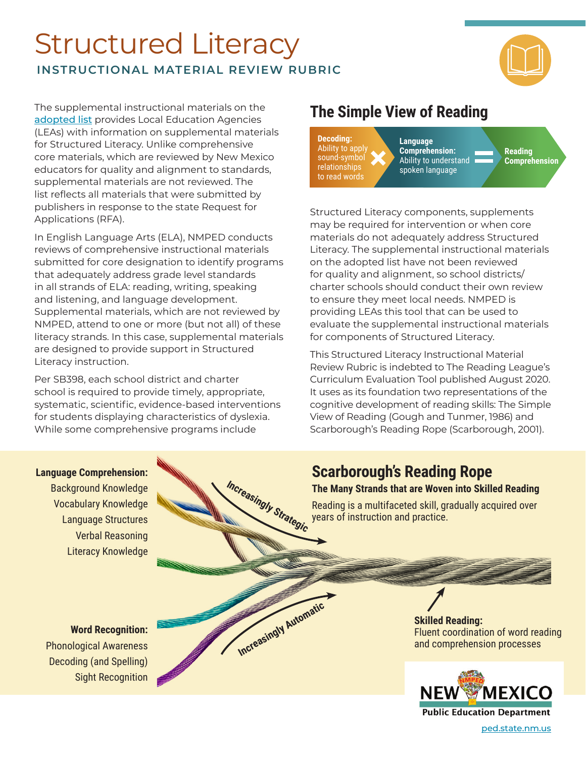Structured Literacy **INSTRUCTIONAL MATERIAL REVIEW RUBRIC** 



The supplemental instructional materials on the [adopted list](https://webnew.ped.state.nm.us/bureaus/instructional-materials/the-adoption-cycle/) provides Local Education Agencies (LEAs) with information on supplemental materials for Structured Literacy. Unlike comprehensive core materials, which are reviewed by New Mexico educators for quality and alignment to standards, supplemental materials are not reviewed. The list reflects all materials that were submitted by publishers in response to the state Request for Applications (RFA).

In English Language Arts (ELA), NMPED conducts reviews of comprehensive instructional materials submitted for core designation to identify programs that adequately address grade level standards in all strands of ELA: reading, writing, speaking and listening, and language development. Supplemental materials, which are not reviewed by NMPED, attend to one or more (but not all) of these literacy strands. In this case, supplemental materials are designed to provide support in Structured Literacy instruction.

Per SB398, each school district and charter school is required to provide timely, appropriate, systematic, scientific, evidence-based interventions for students displaying characteristics of dyslexia. While some comprehensive programs include

# **The Simple View of Reading**



Structured Literacy components, supplements may be required for intervention or when core materials do not adequately address Structured Literacy. The supplemental instructional materials on the adopted list have not been reviewed for quality and alignment, so school districts/ charter schools should conduct their own review to ensure they meet local needs. NMPED is providing LEAs this tool that can be used to evaluate the supplemental instructional materials for components of Structured Literacy.

This Structured Literacy Instructional Material Review Rubric is indebted to The Reading League's Curriculum Evaluation Tool published August 2020. It uses as its foundation two representations of the cognitive development of reading skills: The Simple View of Reading (Gough and Tunmer, 1986) and Scarborough's Reading Rope (Scarborough, 2001).

# **Scarborough's Reading Rope**

#### **The Many Strands that are Woven into Skilled Reading**

Reading is a multifaceted skill, gradually acquired over years of instruction and practice.

### **Language Comprehension:** Background Knowledge

Vocabulary Knowledge Language Structures Verbal Reasoning Literacy Knowledge



**Word Recognition:** Phonological Awareness

Sight Recognition

Decoding (and Spelling)

Fluent coordination of word reading



[ped.state.nm.us](http://ped.state.nm.us)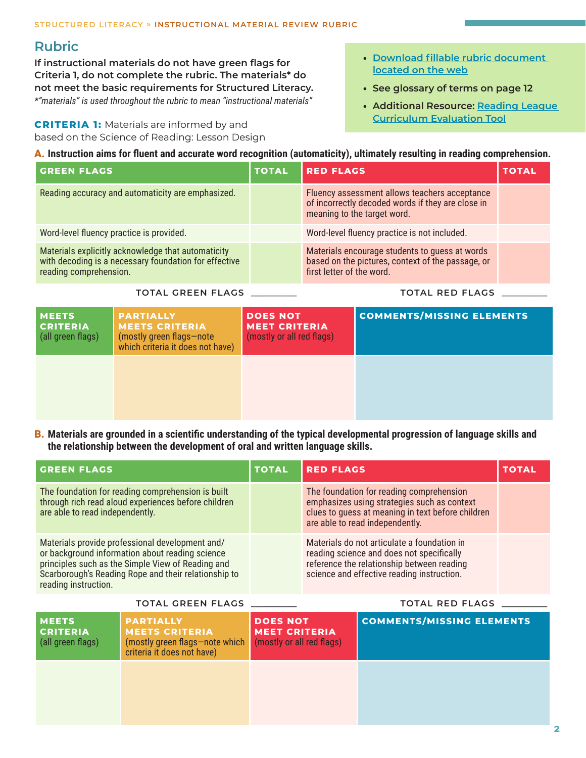## **Rubric**

**If instructional materials do not have green flags for Criteria 1, do not complete the rubric. The materials\* do not meet the basic requirements for Structured Literacy.**  *\*"materials" is used throughout the rubric to mean "instructional materials"*

**CRITERIA 1:** Materials are informed by and based on the Science of Reading: Lesson Design

- **• [Download fillable rubric document](https://webnew.ped.state.nm.us/wp-content/uploads/2021/03/StructuredLiteracy_InstructionalMaterialReviewRubric_Final_03_16_21.xlsx)  [located on the web](https://webnew.ped.state.nm.us/wp-content/uploads/2021/03/StructuredLiteracy_InstructionalMaterialReviewRubric_Final_03_16_21.xlsx)**
- **• See glossary of terms on page 12**
- **• Additional Resource: [Reading League](https://drive.google.com/file/d/1oZFOYAr6w6IN2CDS02OxFA1-Jmd_9_Hu/view)  [Curriculum Evaluation Tool](https://drive.google.com/file/d/1oZFOYAr6w6IN2CDS02OxFA1-Jmd_9_Hu/view)**

| A. Instruction aims for fluent and accurate word recognition (automaticity), ultimately resulting in reading comprehension.           |              |                                                                                                                                   |              |  |  |
|---------------------------------------------------------------------------------------------------------------------------------------|--------------|-----------------------------------------------------------------------------------------------------------------------------------|--------------|--|--|
| <b>GREEN FLAGS</b>                                                                                                                    | <b>TOTAL</b> | <b>RED FLAGS</b>                                                                                                                  | <b>TOTAL</b> |  |  |
| Reading accuracy and automaticity are emphasized.                                                                                     |              | Fluency assessment allows teachers acceptance<br>of incorrectly decoded words if they are close in<br>meaning to the target word. |              |  |  |
| Word-level fluency practice is provided.                                                                                              |              | Word-level fluency practice is not included.                                                                                      |              |  |  |
| Materials explicitly acknowledge that automaticity<br>with decoding is a necessary foundation for effective<br>reading comprehension. |              | Materials encourage students to guess at words<br>based on the pictures, context of the passage, or<br>first letter of the word.  |              |  |  |

**TOTAL GREEN FLAGS \_\_\_\_\_\_\_\_\_\_\_ TOTAL RED FLAGS \_\_\_\_\_\_\_\_\_\_\_**

| <b>MEETS</b><br><b>CRITERIA</b><br>(all green flags) | <b>PARTIALLY</b><br><b>MEETS CRITERIA</b><br>(mostly green flags-note<br>which criteria it does not have) | <b>DOES NOT</b><br><b>MEET CRITERIA</b><br>(mostly or all red flags) | <b>COMMENTS/MISSING ELEMENTS</b> |
|------------------------------------------------------|-----------------------------------------------------------------------------------------------------------|----------------------------------------------------------------------|----------------------------------|
|                                                      |                                                                                                           |                                                                      |                                  |

**B.** Materials are grounded in a scientific understanding of the typical developmental progression of language skills and **the relationship between the development of oral and written language skills.**

| <b>GREEN FLAGS</b>                                                                                                                                                                                                                      | <b>TOTAL</b> | <b>RED FLAGS</b>                                                                                                                                                                     | <b>TOTAL</b> |
|-----------------------------------------------------------------------------------------------------------------------------------------------------------------------------------------------------------------------------------------|--------------|--------------------------------------------------------------------------------------------------------------------------------------------------------------------------------------|--------------|
| The foundation for reading comprehension is built<br>through rich read aloud experiences before children<br>are able to read independently.                                                                                             |              | The foundation for reading comprehension<br>emphasizes using strategies such as context<br>clues to guess at meaning in text before children<br>are able to read independently.      |              |
| Materials provide professional development and/<br>or background information about reading science<br>principles such as the Simple View of Reading and<br>Scarborough's Reading Rope and their relationship to<br>reading instruction. |              | Materials do not articulate a foundation in<br>reading science and does not specifically<br>reference the relationship between reading<br>science and effective reading instruction. |              |

#### **TOTAL GREEN FLAGS \_\_\_\_\_\_\_\_\_\_\_ TOTAL RED FLAGS \_\_\_\_\_\_\_\_\_\_\_**

| <b>MEETS</b><br><b>CRITERIA</b><br>(all green flags) | <b>PARTIALLY</b><br><b>MEETS CRITERIA</b><br>(mostly green flags-note which<br>criteria it does not have) | <b>DOES NOT</b><br><b>MEET CRITERIA</b><br>(mostly or all red flags) | <b>COMMENTS/MISSING ELEMENTS</b> |
|------------------------------------------------------|-----------------------------------------------------------------------------------------------------------|----------------------------------------------------------------------|----------------------------------|
|                                                      |                                                                                                           |                                                                      |                                  |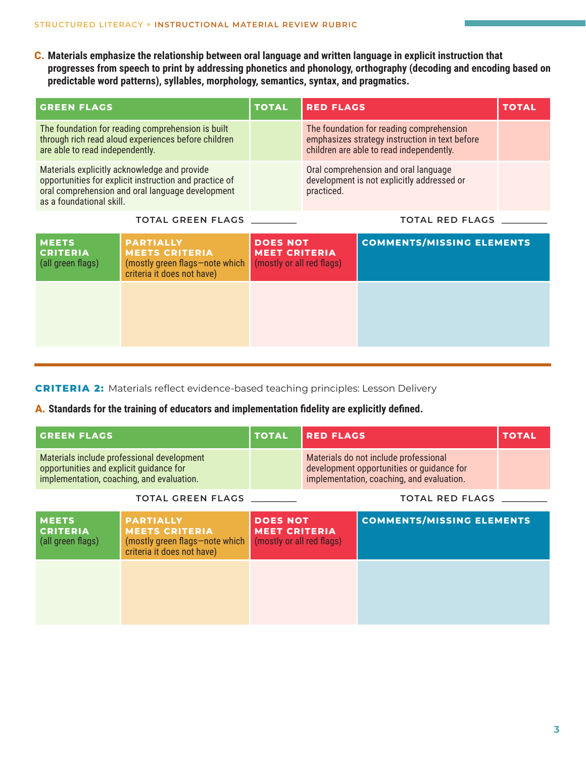C. **Materials emphasize the relationship between oral language and written language in explicit instruction that**  progresses from speech to print by addressing phonetics and phonology, orthography (decoding and encoding based on **predictable word patterns), syllables, morphology, semantics, syntax, and pragmatics.**

| <b>GREEN FLAGS</b>                                                                                                                                                                     | <b>TOTAL</b> | <b>RED FLAGS</b>                                                                                                                       | <b>TOTAL</b> |
|----------------------------------------------------------------------------------------------------------------------------------------------------------------------------------------|--------------|----------------------------------------------------------------------------------------------------------------------------------------|--------------|
| The foundation for reading comprehension is built<br>through rich read aloud experiences before children<br>are able to read independently.                                            |              | The foundation for reading comprehension<br>emphasizes strategy instruction in text before<br>children are able to read independently. |              |
| Materials explicitly acknowledge and provide<br>opportunities for explicit instruction and practice of<br>oral comprehension and oral language development<br>as a foundational skill. |              | Oral comprehension and oral language<br>development is not explicitly addressed or<br>practiced.                                       |              |
| <b>TOTAL GREEN FLAGS</b>                                                                                                                                                               |              | <b>TOTAL RED FLAGS</b>                                                                                                                 |              |

| <b>MEETS</b><br><b>CRITERIA</b><br>(all green flags) | <b>PARTIALLY</b><br><b>MEETS CRITERIA</b><br>(mostly green flags-note which<br>criteria it does not have) | <b>DOES NOT</b><br><b>MEET CRITERIA</b><br>(mostly or all red flags) | <b>COMMENTS/MISSING ELEMENTS</b> |
|------------------------------------------------------|-----------------------------------------------------------------------------------------------------------|----------------------------------------------------------------------|----------------------------------|
|                                                      |                                                                                                           |                                                                      |                                  |

**CRITERIA 2:** Materials reflect evidence-based teaching principles: Lesson Delivery

#### A. **Standards for the training of educators and implementation fidelity are explicitly defined.**

| <b>GREEN FLAGS</b>                                                                                                                 |                                                                                                           | <b>TOTAL</b>                                                         | <b>RED FLAGS</b>                                                                                                                |                                  | <b>TOTAL</b> |
|------------------------------------------------------------------------------------------------------------------------------------|-----------------------------------------------------------------------------------------------------------|----------------------------------------------------------------------|---------------------------------------------------------------------------------------------------------------------------------|----------------------------------|--------------|
| Materials include professional development<br>opportunities and explicit guidance for<br>implementation, coaching, and evaluation. |                                                                                                           |                                                                      | Materials do not include professional<br>development opportunities or quidance for<br>implementation, coaching, and evaluation. |                                  |              |
| <b>TOTAL GREEN FLAGS</b>                                                                                                           |                                                                                                           |                                                                      |                                                                                                                                 | <b>TOTAL RED FLAGS</b>           |              |
| <b>MEETS</b><br><b>CRITERIA</b><br>(all green flags)                                                                               | <b>PARTIALLY</b><br><b>MEETS CRITERIA</b><br>(mostly green flags-note which<br>criteria it does not have) | <b>DOES NOT</b><br><b>MEET CRITERIA</b><br>(mostly or all red flags) |                                                                                                                                 | <b>COMMENTS/MISSING ELEMENTS</b> |              |
|                                                                                                                                    |                                                                                                           |                                                                      |                                                                                                                                 |                                  |              |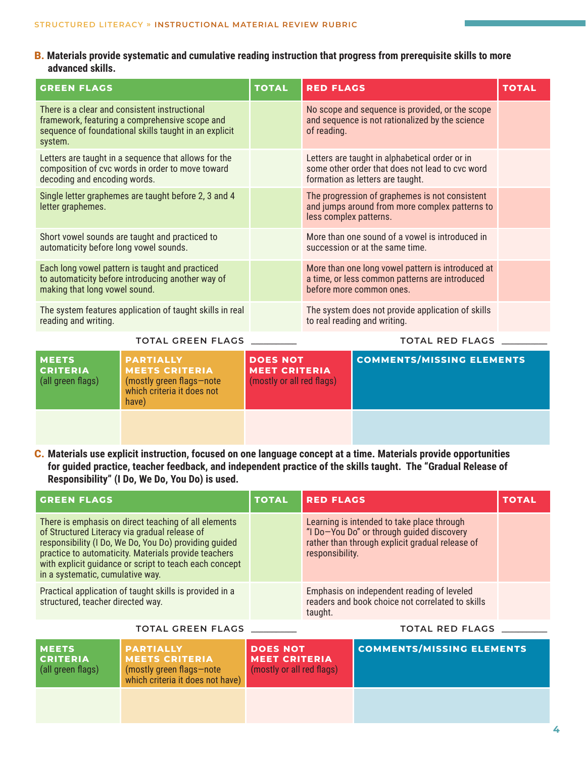#### B. **Materials provide systematic and cumulative reading instruction that progress from prerequisite skills to more advanced skills.**

| <b>GREEN FLAGS</b>                                                                       |                                                                                                                                                          | <b>TOTAL</b>                                                         | <b>RED FLAGS</b>                                                                                                                |                                                                                                                                       | <b>TOTAL</b> |
|------------------------------------------------------------------------------------------|----------------------------------------------------------------------------------------------------------------------------------------------------------|----------------------------------------------------------------------|---------------------------------------------------------------------------------------------------------------------------------|---------------------------------------------------------------------------------------------------------------------------------------|--------------|
| system.                                                                                  | There is a clear and consistent instructional<br>framework, featuring a comprehensive scope and<br>sequence of foundational skills taught in an explicit |                                                                      | No scope and sequence is provided, or the scope<br>and sequence is not rationalized by the science<br>of reading.               |                                                                                                                                       |              |
| decoding and encoding words.                                                             | Letters are taught in a sequence that allows for the<br>composition of cvc words in order to move toward                                                 |                                                                      |                                                                                                                                 | Letters are taught in alphabetical order or in<br>some other order that does not lead to cvc word<br>formation as letters are taught. |              |
| letter graphemes.                                                                        | Single letter graphemes are taught before 2, 3 and 4                                                                                                     |                                                                      | The progression of graphemes is not consistent<br>and jumps around from more complex patterns to<br>less complex patterns.      |                                                                                                                                       |              |
| Short vowel sounds are taught and practiced to<br>automaticity before long vowel sounds. |                                                                                                                                                          |                                                                      | More than one sound of a vowel is introduced in<br>succession or at the same time.                                              |                                                                                                                                       |              |
| making that long vowel sound.                                                            | Each long vowel pattern is taught and practiced<br>to automaticity before introducing another way of                                                     |                                                                      | More than one long vowel pattern is introduced at<br>a time, or less common patterns are introduced<br>before more common ones. |                                                                                                                                       |              |
| reading and writing.                                                                     | The system features application of taught skills in real                                                                                                 |                                                                      |                                                                                                                                 | The system does not provide application of skills<br>to real reading and writing.                                                     |              |
|                                                                                          | <b>TOTAL GREEN FLAGS</b>                                                                                                                                 |                                                                      |                                                                                                                                 | <b>TOTAL RED FLAGS</b>                                                                                                                |              |
| <b>MEETS</b><br><b>CRITERIA</b><br>(all green flags)                                     | <b>PARTIALLY</b><br><b>MEETS CRITERIA</b><br>(mostly green flags-note<br>which criteria it does not<br>have)                                             | <b>DOES NOT</b><br><b>MEET CRITERIA</b><br>(mostly or all red flags) |                                                                                                                                 | <b>COMMENTS/MISSING ELEMENTS</b>                                                                                                      |              |
|                                                                                          |                                                                                                                                                          |                                                                      |                                                                                                                                 |                                                                                                                                       |              |

#### C. **Materials use explicit instruction, focused on one language concept at a time. Materials provide opportunities for guided practice, teacher feedback, and independent practice of the skills taught. The "Gradual Release of Responsibility" (I Do, We Do, You Do) is used.**

| <b>GREEN FLAGS</b>                                                                                                                                                                                                                                                                                                   | <b>TOTAL</b> | <b>RED FLAGS</b>                                                                                                                                              | <b>TOTAL</b> |
|----------------------------------------------------------------------------------------------------------------------------------------------------------------------------------------------------------------------------------------------------------------------------------------------------------------------|--------------|---------------------------------------------------------------------------------------------------------------------------------------------------------------|--------------|
| There is emphasis on direct teaching of all elements<br>of Structured Literacy via gradual release of<br>responsibility (I Do, We Do, You Do) providing guided<br>practice to automaticity. Materials provide teachers<br>with explicit guidance or script to teach each concept<br>in a systematic, cumulative way. |              | Learning is intended to take place through<br>"I Do-You Do" or through guided discovery<br>rather than through explicit gradual release of<br>responsibility. |              |
| Practical application of taught skills is provided in a<br>structured, teacher directed way.                                                                                                                                                                                                                         |              | Emphasis on independent reading of leveled<br>readers and book choice not correlated to skills<br>taught.                                                     |              |

#### **TOTAL GREEN FLAGS \_\_\_\_\_\_\_\_\_\_\_ TOTAL RED FLAGS \_\_\_\_\_\_\_\_\_\_\_**

**MEETS CRITERIA** (all green flags) **PARTIALLY MEETS CRITERIA**  (mostly green flags—note which criteria it does not have) **DOES NOT MEET CRITERIA**  (mostly or all red flags) **COMMENTS/MISSING ELEMENTS**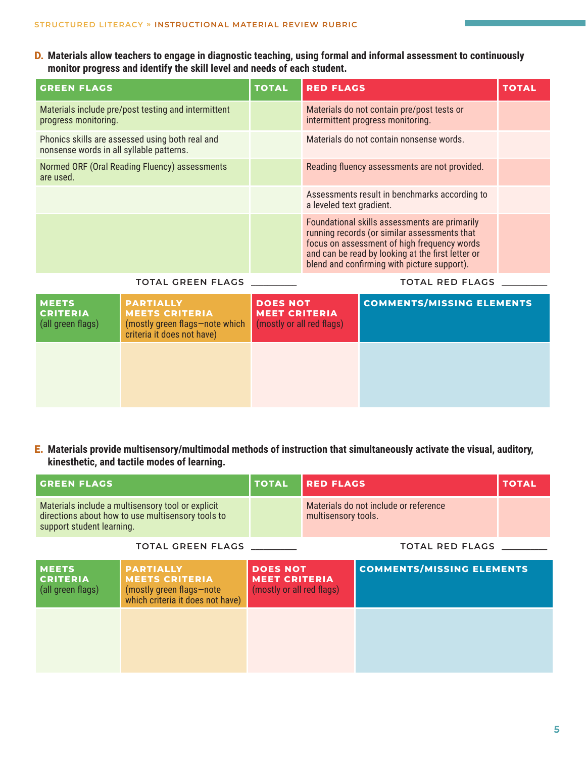D. **Materials allow teachers to engage in diagnostic teaching, using formal and informal assessment to continuously monitor progress and identify the skill level and needs of each student.**

| <b>GREEN FLAGS</b>                                                                          | <b>TOTAL</b> | <b>RED FLAGS</b>                                                                                                                                                                                                                                 | <b>TOTAL</b> |
|---------------------------------------------------------------------------------------------|--------------|--------------------------------------------------------------------------------------------------------------------------------------------------------------------------------------------------------------------------------------------------|--------------|
| Materials include pre/post testing and intermittent<br>progress monitoring.                 |              | Materials do not contain pre/post tests or<br>intermittent progress monitoring.                                                                                                                                                                  |              |
| Phonics skills are assessed using both real and<br>nonsense words in all syllable patterns. |              | Materials do not contain nonsense words.                                                                                                                                                                                                         |              |
| Normed ORF (Oral Reading Fluency) assessments<br>are used.                                  |              | Reading fluency assessments are not provided.                                                                                                                                                                                                    |              |
|                                                                                             |              | Assessments result in benchmarks according to<br>a leveled text gradient.                                                                                                                                                                        |              |
|                                                                                             |              | Foundational skills assessments are primarily<br>running records (or similar assessments that<br>focus on assessment of high frequency words<br>and can be read by looking at the first letter or<br>blend and confirming with picture support). |              |

#### **TOTAL GREEN FLAGS \_\_\_\_\_\_\_\_\_\_\_ TOTAL RED FLAGS \_\_\_\_\_\_\_\_\_\_\_**

| <b>MEETS</b><br><b>CRITERIA</b><br>(all green flags) | <b>PARTIALLY</b><br><b>MEETS CRITERIA</b><br>(mostly green flags-note which<br>criteria it does not have) | <b>DOES NOT</b><br><b>MEET CRITERIA</b><br>(mostly or all red flags) | <b>COMMENTS/MISSING ELEMENTS</b> |
|------------------------------------------------------|-----------------------------------------------------------------------------------------------------------|----------------------------------------------------------------------|----------------------------------|
|                                                      |                                                                                                           |                                                                      |                                  |

E. **Materials provide multisensory/multimodal methods of instruction that simultaneously activate the visual, auditory, kinesthetic, and tactile modes of learning.**

| <b>GREEN FLAGS</b>                                   |                                                                                                           | <b>TOTAL</b>                                                         | <b>RED FLAGS</b>    |                                       | <b>TOTAL</b> |
|------------------------------------------------------|-----------------------------------------------------------------------------------------------------------|----------------------------------------------------------------------|---------------------|---------------------------------------|--------------|
| support student learning.                            | Materials include a multisensory tool or explicit<br>directions about how to use multisensory tools to    |                                                                      | multisensory tools. | Materials do not include or reference |              |
|                                                      | <b>TOTAL GREEN FLAGS</b>                                                                                  |                                                                      |                     | <b>TOTAL RED FLAGS</b>                |              |
| <b>MEETS</b><br><b>CRITERIA</b><br>(all green flags) | <b>PARTIALLY</b><br><b>MEETS CRITERIA</b><br>(mostly green flags-note<br>which criteria it does not have) | <b>DOES NOT</b><br><b>MEET CRITERIA</b><br>(mostly or all red flags) |                     | <b>COMMENTS/MISSING ELEMENTS</b>      |              |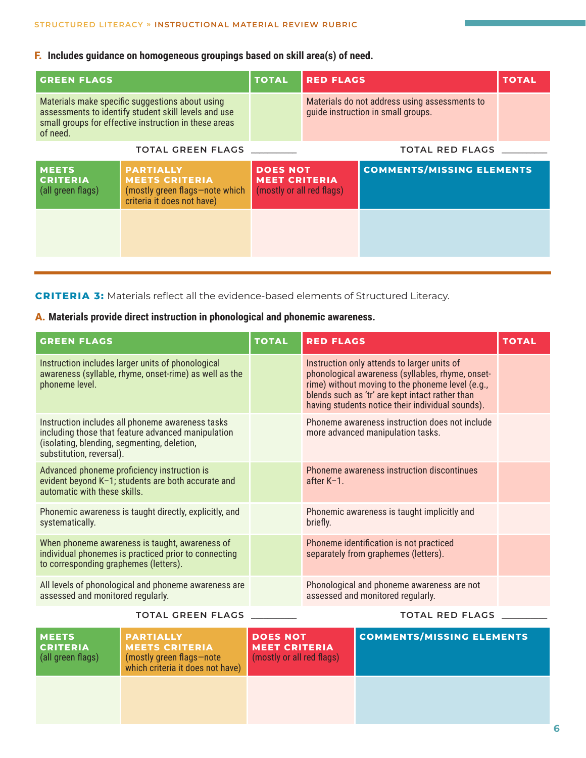### F.  **Includes guidance on homogeneous groupings based on skill area(s) of need.**

| <b>GREEN FLAGS</b>                                   |                                                                                                                                                                  | <b>TOTAL</b>                                                         | <b>RED FLAGS</b>                                                                    |                                  | <b>TOTAL</b> |
|------------------------------------------------------|------------------------------------------------------------------------------------------------------------------------------------------------------------------|----------------------------------------------------------------------|-------------------------------------------------------------------------------------|----------------------------------|--------------|
| of need.                                             | Materials make specific suggestions about using<br>assessments to identify student skill levels and use<br>small groups for effective instruction in these areas |                                                                      | Materials do not address using assessments to<br>quide instruction in small groups. |                                  |              |
|                                                      | <b>TOTAL GREEN FLAGS</b>                                                                                                                                         |                                                                      |                                                                                     | <b>TOTAL RED FLAGS</b>           |              |
| <b>MEETS</b><br><b>CRITERIA</b><br>(all green flags) | <b>PARTIALLY</b><br><b>MEETS CRITERIA</b><br>(mostly green flags-note which<br>criteria it does not have)                                                        | <b>DOES NOT</b><br><b>MEET CRITERIA</b><br>(mostly or all red flags) |                                                                                     | <b>COMMENTS/MISSING ELEMENTS</b> |              |
|                                                      |                                                                                                                                                                  |                                                                      |                                                                                     |                                  |              |

**CRITERIA 3:** Materials reflect all the evidence-based elements of Structured Literacy.

### A. **Materials provide direct instruction in phonological and phonemic awareness.**

| <b>GREEN FLAGS</b>                                                                                                                                                                | <b>TOTAL</b> | <b>RED FLAGS</b>                                                                                                                                                                                                                                           | <b>TOTAL</b> |
|-----------------------------------------------------------------------------------------------------------------------------------------------------------------------------------|--------------|------------------------------------------------------------------------------------------------------------------------------------------------------------------------------------------------------------------------------------------------------------|--------------|
| Instruction includes larger units of phonological<br>awareness (syllable, rhyme, onset-rime) as well as the<br>phoneme level.                                                     |              | Instruction only attends to larger units of<br>phonological awareness (syllables, rhyme, onset-<br>rime) without moving to the phoneme level (e.g.,<br>blends such as 'tr' are kept intact rather than<br>having students notice their individual sounds). |              |
| Instruction includes all phoneme awareness tasks<br>including those that feature advanced manipulation<br>(isolating, blending, segmenting, deletion,<br>substitution, reversal). |              | Phoneme awareness instruction does not include<br>more advanced manipulation tasks.                                                                                                                                                                        |              |
| Advanced phoneme proficiency instruction is<br>evident beyond K-1; students are both accurate and<br>automatic with these skills.                                                 |              | Phoneme awareness instruction discontinues<br>after K-1.                                                                                                                                                                                                   |              |
| Phonemic awareness is taught directly, explicitly, and<br>systematically.                                                                                                         |              | Phonemic awareness is taught implicitly and<br>briefly.                                                                                                                                                                                                    |              |
| When phoneme awareness is taught, awareness of<br>individual phonemes is practiced prior to connecting<br>to corresponding graphemes (letters).                                   |              | Phoneme identification is not practiced<br>separately from graphemes (letters).                                                                                                                                                                            |              |
| All levels of phonological and phoneme awareness are<br>assessed and monitored regularly.                                                                                         |              | Phonological and phoneme awareness are not<br>assessed and monitored regularly.                                                                                                                                                                            |              |
| <b>TOTAL GREEN FLAGS</b>                                                                                                                                                          |              | <b>TOTAL RED FLAGS</b>                                                                                                                                                                                                                                     |              |

| <b>IMEETS</b><br><b>CRITERIA</b><br>(all green flags) | <b>PARTIALLY</b><br><b>MEETS CRITERIA</b><br>(mostly green flags-note<br>which criteria it does not have) | <b>DOES NOT</b><br><b>MEET CRITERIA</b><br>(mostly or all red flags) | <b>COMMENTS/MISSING ELEMENTS</b> |
|-------------------------------------------------------|-----------------------------------------------------------------------------------------------------------|----------------------------------------------------------------------|----------------------------------|
|                                                       |                                                                                                           |                                                                      |                                  |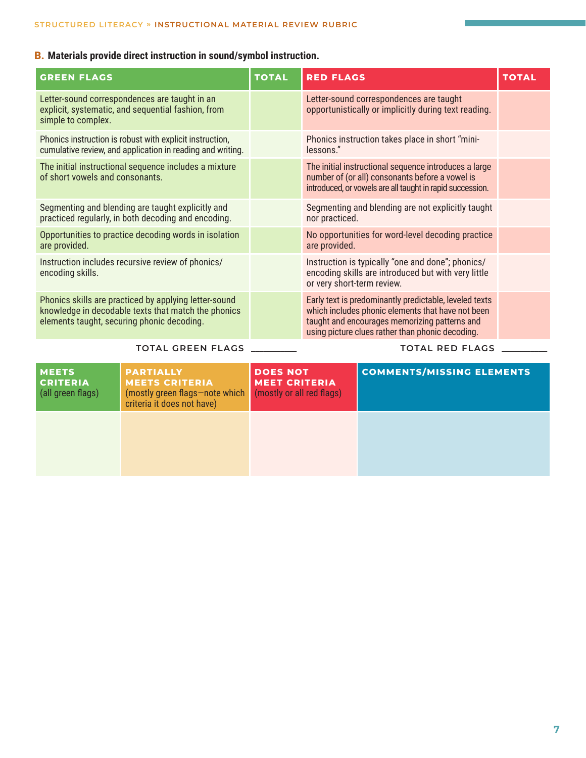### B. **Materials provide direct instruction in sound/symbol instruction.**

| <b>GREEN FLAGS</b>                                                                                                                                         | <b>TOTAL</b> | <b>RED FLAGS</b>                                                                                                                                                                                                 | <b>TOTAL</b> |
|------------------------------------------------------------------------------------------------------------------------------------------------------------|--------------|------------------------------------------------------------------------------------------------------------------------------------------------------------------------------------------------------------------|--------------|
| Letter-sound correspondences are taught in an<br>explicit, systematic, and sequential fashion, from<br>simple to complex.                                  |              | Letter-sound correspondences are taught<br>opportunistically or implicitly during text reading.                                                                                                                  |              |
| Phonics instruction is robust with explicit instruction,<br>cumulative review, and application in reading and writing.                                     |              | Phonics instruction takes place in short "mini-<br>lessons."                                                                                                                                                     |              |
| The initial instructional sequence includes a mixture<br>of short vowels and consonants.                                                                   |              | The initial instructional sequence introduces a large<br>number of (or all) consonants before a vowel is<br>introduced, or vowels are all taught in rapid succession.                                            |              |
| Segmenting and blending are taught explicitly and<br>practiced regularly, in both decoding and encoding.                                                   |              | Segmenting and blending are not explicitly taught<br>nor practiced.                                                                                                                                              |              |
| Opportunities to practice decoding words in isolation<br>are provided.                                                                                     |              | No opportunities for word-level decoding practice<br>are provided.                                                                                                                                               |              |
| Instruction includes recursive review of phonics/<br>encoding skills.                                                                                      |              | Instruction is typically "one and done"; phonics/<br>encoding skills are introduced but with very little<br>or very short-term review.                                                                           |              |
| Phonics skills are practiced by applying letter-sound<br>knowledge in decodable texts that match the phonics<br>elements taught, securing phonic decoding. |              | Early text is predominantly predictable, leveled texts<br>which includes phonic elements that have not been<br>taught and encourages memorizing patterns and<br>using picture clues rather than phonic decoding. |              |
| <b>TOTAL GREEN FLAGS</b>                                                                                                                                   |              | <b>TOTAL RED FLAGS</b>                                                                                                                                                                                           |              |

| <b>MEETS</b><br><b>CRITERIA</b><br>(all green flags) | <b>PARTIALLY</b><br><b>MEETS CRITERIA</b><br>(mostly green flags-note which<br>criteria it does not have) | <b>DOES NOT</b><br><b>MEET CRITERIA</b><br>(mostly or all red flags) | <b>COMMENTS/MISSING ELEMENTS</b> |
|------------------------------------------------------|-----------------------------------------------------------------------------------------------------------|----------------------------------------------------------------------|----------------------------------|
|                                                      |                                                                                                           |                                                                      |                                  |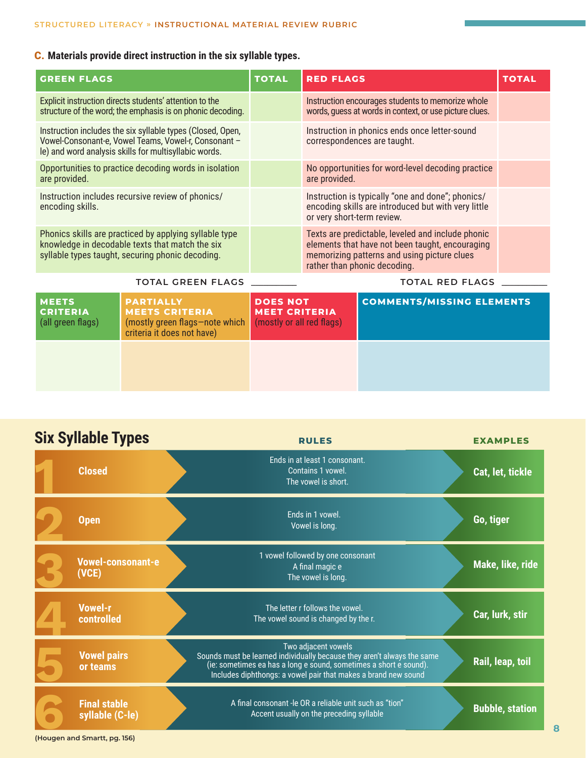## C. **Materials provide direct instruction in the six syllable types.**

| <b>GREEN FLAGS</b>                                                                                                                                                          |                                                                                                                       | <b>TOTAL</b>                                                         | <b>RED FLAGS</b>                                                                                                                                                                    |                                                                                                                                        | <b>TOTAL</b> |
|-----------------------------------------------------------------------------------------------------------------------------------------------------------------------------|-----------------------------------------------------------------------------------------------------------------------|----------------------------------------------------------------------|-------------------------------------------------------------------------------------------------------------------------------------------------------------------------------------|----------------------------------------------------------------------------------------------------------------------------------------|--------------|
|                                                                                                                                                                             | Explicit instruction directs students' attention to the<br>structure of the word; the emphasis is on phonic decoding. |                                                                      |                                                                                                                                                                                     | Instruction encourages students to memorize whole<br>words, guess at words in context, or use picture clues.                           |              |
| Instruction includes the six syllable types (Closed, Open,<br>Vowel-Consonant-e, Vowel Teams, Vowel-r, Consonant -<br>le) and word analysis skills for multisyllabic words. |                                                                                                                       |                                                                      |                                                                                                                                                                                     | Instruction in phonics ends once letter-sound<br>correspondences are taught.                                                           |              |
| Opportunities to practice decoding words in isolation<br>are provided.                                                                                                      |                                                                                                                       |                                                                      | are provided.                                                                                                                                                                       | No opportunities for word-level decoding practice                                                                                      |              |
| Instruction includes recursive review of phonics/<br>encoding skills.                                                                                                       |                                                                                                                       |                                                                      |                                                                                                                                                                                     | Instruction is typically "one and done"; phonics/<br>encoding skills are introduced but with very little<br>or very short-term review. |              |
| Phonics skills are practiced by applying syllable type<br>knowledge in decodable texts that match the six<br>syllable types taught, securing phonic decoding.               |                                                                                                                       |                                                                      | Texts are predictable, leveled and include phonic<br>elements that have not been taught, encouraging<br>memorizing patterns and using picture clues<br>rather than phonic decoding. |                                                                                                                                        |              |
|                                                                                                                                                                             | <b>TOTAL GREEN FLAGS</b>                                                                                              |                                                                      |                                                                                                                                                                                     | <b>TOTAL RED FLAGS</b>                                                                                                                 |              |
| <b>MEETS</b><br><b>CRITERIA</b><br>(all green flags)                                                                                                                        | <b>PARTIALLY</b><br><b>MEETS CRITERIA</b><br>(mostly green flags-note which<br>criteria it does not have)             | <b>DOES NOT</b><br><b>MEET CRITERIA</b><br>(mostly or all red flags) |                                                                                                                                                                                     | <b>COMMENTS/MISSING ELEMENTS</b>                                                                                                       |              |
|                                                                                                                                                                             |                                                                                                                       |                                                                      |                                                                                                                                                                                     |                                                                                                                                        |              |

| <b>Six Syllable Types</b>              | <b>RULES</b>                                                                                                                                                                                                                          | <b>EXAMPLES</b>        |
|----------------------------------------|---------------------------------------------------------------------------------------------------------------------------------------------------------------------------------------------------------------------------------------|------------------------|
| <b>Closed</b>                          | Ends in at least 1 consonant.<br>Contains 1 vowel.<br>The vowel is short.                                                                                                                                                             | Cat, let, tickle       |
| <b>Open</b>                            | Ends in 1 vowel.<br>Vowel is long.                                                                                                                                                                                                    | Go, tiger              |
| <b>Vowel-consonant-e</b><br>(VCE)      | 1 vowel followed by one consonant<br>A final magic e<br>The vowel is long.                                                                                                                                                            | Make, like, ride       |
| <b>Vowel-r</b><br>controlled           | The letter r follows the vowel.<br>The vowel sound is changed by the r.                                                                                                                                                               | Car, lurk, stir        |
| <b>Vowel pairs</b><br>or teams         | Two adjacent vowels<br>Sounds must be learned individually because they aren't always the same<br>(ie: sometimes ea has a long e sound, sometimes a short e sound).<br>Includes diphthongs: a vowel pair that makes a brand new sound | Rail, leap, toil       |
| <b>Final stable</b><br>syllable (C-le) | A final consonant -le OR a reliable unit such as "tion"<br>Accent usually on the preceding syllable                                                                                                                                   | <b>Bubble, station</b> |
| (Hougen and Smartt, pg. 156)           |                                                                                                                                                                                                                                       |                        |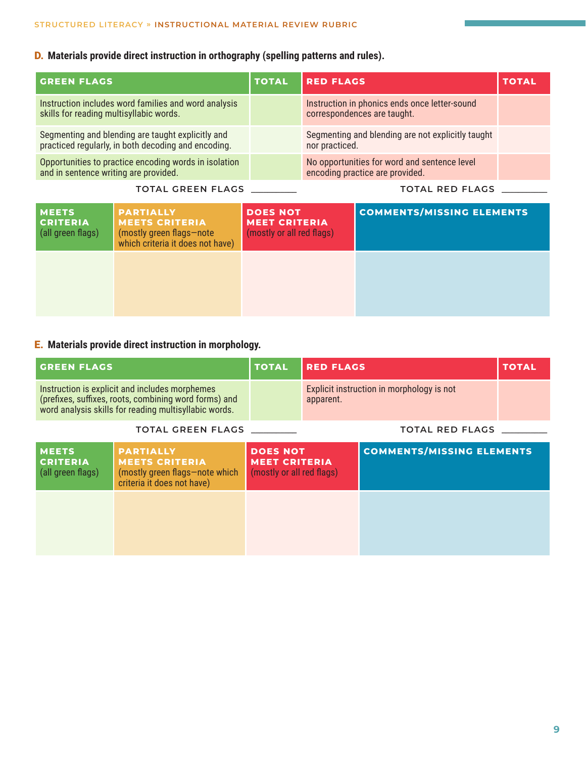### D. **Materials provide direct instruction in orthography (spelling patterns and rules).**

| <b>GREEN FLAGS</b>                                                                                       | <b>TOTAL</b> | <b>RED FLAGS</b>                                                                | <b>TOTAL</b> |
|----------------------------------------------------------------------------------------------------------|--------------|---------------------------------------------------------------------------------|--------------|
| Instruction includes word families and word analysis<br>skills for reading multisyllabic words.          |              | Instruction in phonics ends once letter-sound<br>correspondences are taught.    |              |
| Segmenting and blending are taught explicitly and<br>practiced regularly, in both decoding and encoding. |              | Segmenting and blending are not explicitly taught<br>nor practiced.             |              |
| Opportunities to practice encoding words in isolation<br>and in sentence writing are provided.           |              | No opportunities for word and sentence level<br>encoding practice are provided. |              |
|                                                                                                          |              |                                                                                 |              |

|  |  | TOTAL GREEN FLAGS |  |
|--|--|-------------------|--|
|--|--|-------------------|--|

**TOTAL GREEN FLAGS \_\_\_\_\_\_\_\_\_\_\_ TOTAL RED FLAGS \_\_\_\_\_\_\_\_\_\_\_**

| <b>MEETS</b><br><b>CRITERIA</b><br>(all green flags) | <b>PARTIALLY</b><br><b>MEETS CRITERIA</b><br>(mostly green flags-note<br>which criteria it does not have) | <b>DOES NOT</b><br><b>MEET CRITERIA</b><br>(mostly or all red flags) | <b>COMMENTS/MISSING ELEMENTS</b> |
|------------------------------------------------------|-----------------------------------------------------------------------------------------------------------|----------------------------------------------------------------------|----------------------------------|
|                                                      |                                                                                                           |                                                                      |                                  |

### E. **Materials provide direct instruction in morphology.**

| <b>GREEN FLAGS</b>                                   |                                                                                                                                                                  | <b>TOTAL</b>                                                         | <b>RED FLAGS</b>                                       |                                  | <b>TOTAL</b> |
|------------------------------------------------------|------------------------------------------------------------------------------------------------------------------------------------------------------------------|----------------------------------------------------------------------|--------------------------------------------------------|----------------------------------|--------------|
|                                                      | Instruction is explicit and includes morphemes<br>(prefixes, suffixes, roots, combining word forms) and<br>word analysis skills for reading multisyllabic words. |                                                                      | Explicit instruction in morphology is not<br>apparent. |                                  |              |
|                                                      | <b>TOTAL GREEN FLAGS</b>                                                                                                                                         |                                                                      |                                                        | <b>TOTAL RED FLAGS</b>           |              |
| <b>MEETS</b><br><b>CRITERIA</b><br>(all green flags) | <b>PARTIALLY</b><br><b>MEETS CRITERIA</b><br>(mostly green flags-note which<br>criteria it does not have)                                                        | <b>DOES NOT</b><br><b>MEET CRITERIA</b><br>(mostly or all red flags) |                                                        | <b>COMMENTS/MISSING ELEMENTS</b> |              |
|                                                      |                                                                                                                                                                  |                                                                      |                                                        |                                  |              |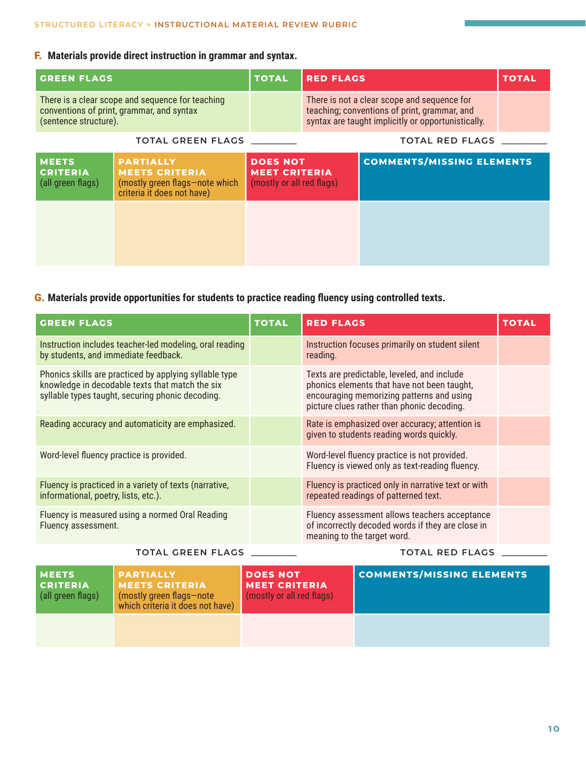### F. **Materials provide direct instruction in grammar and syntax.**

| <b>GREEN FLAGS</b>                                                                                                     |                                                                                                           | <b>TOTAL</b>                                                         | <b>RED FLAGS</b>                                                                                                                                  |                                  | <b>TOTAL</b> |
|------------------------------------------------------------------------------------------------------------------------|-----------------------------------------------------------------------------------------------------------|----------------------------------------------------------------------|---------------------------------------------------------------------------------------------------------------------------------------------------|----------------------------------|--------------|
| There is a clear scope and sequence for teaching<br>conventions of print, grammar, and syntax<br>(sentence structure). |                                                                                                           |                                                                      | There is not a clear scope and sequence for<br>teaching; conventions of print, grammar, and<br>syntax are taught implicitly or opportunistically. |                                  |              |
|                                                                                                                        |                                                                                                           |                                                                      | <b>TOTAL RED FLAGS</b>                                                                                                                            |                                  |              |
| <b>MEETS</b><br><b>CRITERIA</b><br>(all green flags)                                                                   | <b>PARTIALLY</b><br><b>MEETS CRITERIA</b><br>(mostly green flags-note which<br>criteria it does not have) | <b>DOES NOT</b><br><b>MEET CRITERIA</b><br>(mostly or all red flags) |                                                                                                                                                   | <b>COMMENTS/MISSING ELEMENTS</b> |              |
|                                                                                                                        |                                                                                                           |                                                                      |                                                                                                                                                   |                                  |              |

### G. **Materials provide opportunities for students to practice reading fluency using controlled texts.**

| <b>GREEN FLAGS</b>                                                                                                                                            | <b>TOTAL</b> | <b>RED FLAGS</b>                                                                                                                                                                      | <b>TOTAL</b> |
|---------------------------------------------------------------------------------------------------------------------------------------------------------------|--------------|---------------------------------------------------------------------------------------------------------------------------------------------------------------------------------------|--------------|
| Instruction includes teacher-led modeling, oral reading<br>by students, and immediate feedback.                                                               |              | Instruction focuses primarily on student silent<br>reading.                                                                                                                           |              |
| Phonics skills are practiced by applying syllable type<br>knowledge in decodable texts that match the six<br>syllable types taught, securing phonic decoding. |              | Texts are predictable, leveled, and include<br>phonics elements that have not been taught,<br>encouraging memorizing patterns and using<br>picture clues rather than phonic decoding. |              |
| Reading accuracy and automaticity are emphasized.                                                                                                             |              | Rate is emphasized over accuracy; attention is<br>given to students reading words quickly.                                                                                            |              |
| Word-level fluency practice is provided.                                                                                                                      |              | Word-level fluency practice is not provided.<br>Fluency is viewed only as text-reading fluency.                                                                                       |              |
| Fluency is practiced in a variety of texts (narrative,<br>informational, poetry, lists, etc.).                                                                |              | Fluency is practiced only in narrative text or with<br>repeated readings of patterned text.                                                                                           |              |
| Fluency is measured using a normed Oral Reading<br>Fluency assessment.                                                                                        |              | Fluency assessment allows teachers acceptance<br>of incorrectly decoded words if they are close in<br>meaning to the target word.                                                     |              |

### **TOTAL GREEN FLAGS \_\_\_\_\_\_\_\_\_\_\_ TOTAL RED FLAGS \_\_\_\_\_\_\_\_\_\_\_**

| <b>MEETS</b><br><b>CRITERIA</b><br>(all green flags) | <b>PARTIALLY</b><br><b>MEETS CRITERIA</b><br>(mostly green flags-note<br>which criteria it does not have) | l DOES NOT<br><b>MEET CRITERIA</b><br>(mostly or all red flags) | <b>COMMENTS/MISSING ELEMENTS</b> |
|------------------------------------------------------|-----------------------------------------------------------------------------------------------------------|-----------------------------------------------------------------|----------------------------------|
|                                                      |                                                                                                           |                                                                 |                                  |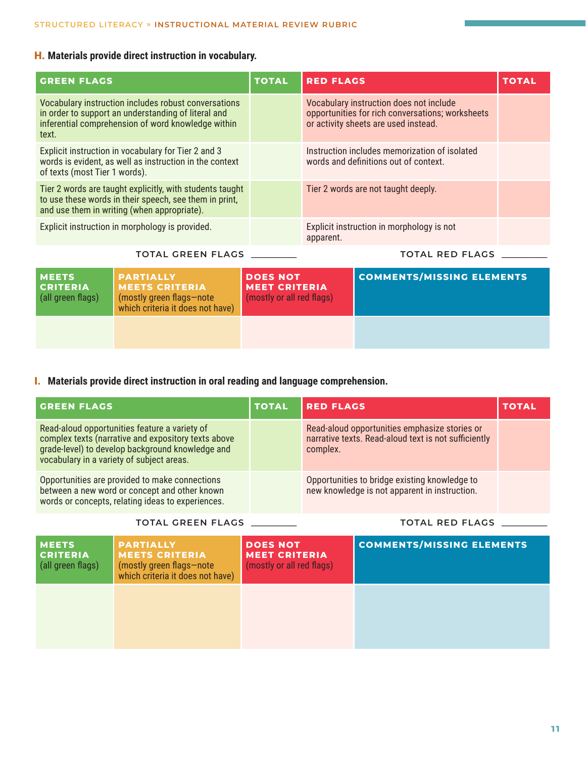### H. **Materials provide direct instruction in vocabulary.**

| <b>GREEN FLAGS</b>                                   |                                                                                                                                                                   | <b>TOTAL</b>                                                         | <b>RED FLAGS</b>                                                                                                                    |                                                                                        | <b>TOTAL</b> |
|------------------------------------------------------|-------------------------------------------------------------------------------------------------------------------------------------------------------------------|----------------------------------------------------------------------|-------------------------------------------------------------------------------------------------------------------------------------|----------------------------------------------------------------------------------------|--------------|
| text.                                                | Vocabulary instruction includes robust conversations<br>in order to support an understanding of literal and<br>inferential comprehension of word knowledge within |                                                                      | Vocabulary instruction does not include<br>opportunities for rich conversations; worksheets<br>or activity sheets are used instead. |                                                                                        |              |
| of texts (most Tier 1 words).                        | Explicit instruction in vocabulary for Tier 2 and 3<br>words is evident, as well as instruction in the context                                                    |                                                                      |                                                                                                                                     | Instruction includes memorization of isolated<br>words and definitions out of context. |              |
|                                                      | Tier 2 words are taught explicitly, with students taught<br>to use these words in their speech, see them in print,<br>and use them in writing (when appropriate). |                                                                      |                                                                                                                                     | Tier 2 words are not taught deeply.                                                    |              |
|                                                      | Explicit instruction in morphology is provided.                                                                                                                   |                                                                      | apparent.                                                                                                                           | Explicit instruction in morphology is not                                              |              |
| <b>TOTAL GREEN FLAGS</b>                             |                                                                                                                                                                   |                                                                      |                                                                                                                                     | <b>TOTAL RED FLAGS</b>                                                                 |              |
| <b>MEETS</b><br><b>CRITERIA</b><br>(all green flags) | <b>PARTIALLY</b><br><b>MEETS CRITERIA</b><br>(mostly green flags-note<br>which criteria it does not have)                                                         | <b>DOES NOT</b><br><b>MEET CRITERIA</b><br>(mostly or all red flags) |                                                                                                                                     | <b>COMMENTS/MISSING ELEMENTS</b>                                                       |              |

### I. **Materials provide direct instruction in oral reading and language comprehension.**

| <b>GREEN FLAGS</b>                                                                                                                                                                                    | <b>TOTAL</b> | <b>RED FLAGS</b>                                                                                                  | TOTAL |
|-------------------------------------------------------------------------------------------------------------------------------------------------------------------------------------------------------|--------------|-------------------------------------------------------------------------------------------------------------------|-------|
| Read-aloud opportunities feature a variety of<br>complex texts (narrative and expository texts above<br>grade-level) to develop background knowledge and<br>vocabulary in a variety of subject areas. |              | Read-aloud opportunities emphasize stories or<br>narrative texts. Read-aloud text is not sufficiently<br>complex. |       |
| Opportunities are provided to make connections<br>between a new word or concept and other known<br>words or concepts, relating ideas to experiences.                                                  |              | Opportunities to bridge existing knowledge to<br>new knowledge is not apparent in instruction.                    |       |

#### **TOTAL GREEN FLAGS \_\_\_\_\_\_\_\_\_\_\_ TOTAL RED FLAGS \_\_\_\_\_\_\_\_\_\_\_**

| <b>MEETS</b><br><b>CRITERIA</b><br>(all green flags) | <b>PARTIALLY</b><br><b>MEETS CRITERIA</b><br>(mostly green flags-note<br>which criteria it does not have) | <b>DOES NOT</b><br><b>MEET CRITERIA</b><br>(mostly or all red flags) | <b>COMMENTS/MISSING ELEMENTS</b> |
|------------------------------------------------------|-----------------------------------------------------------------------------------------------------------|----------------------------------------------------------------------|----------------------------------|
|                                                      |                                                                                                           |                                                                      |                                  |